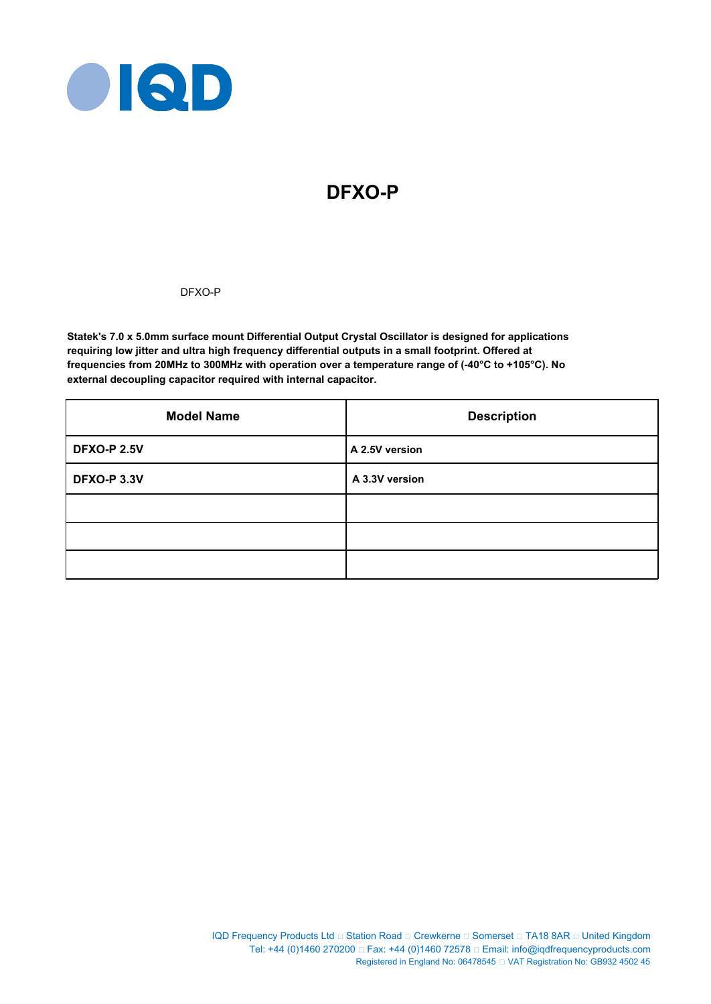

# **DFXO-P**

DFXO-P

**Statek's 7.0 x 5.0mm surface mount Differential Output Crystal Oscillator is designed for applications requiring low jitter and ultra high frequency differential outputs in a small footprint. Offered at frequencies from 20MHz to 300MHz with operation over a temperature range of (-40°C to +105°C). No external decoupling capacitor required with internal capacitor.**

| <b>Model Name</b>  | <b>Description</b> |  |  |
|--------------------|--------------------|--|--|
| <b>DFXO-P 2.5V</b> | A 2.5V version     |  |  |
| <b>DFXO-P 3.3V</b> | A 3.3V version     |  |  |
|                    |                    |  |  |
|                    |                    |  |  |
|                    |                    |  |  |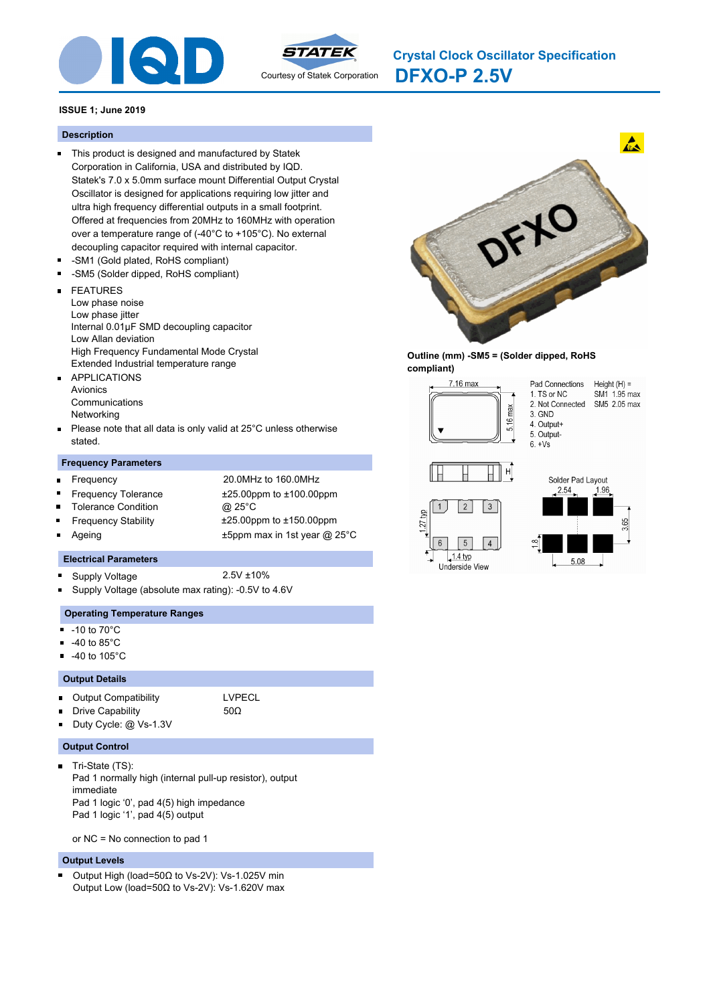



**DFXO-P 2.5V Crystal Clock Oscillator Specification**

# **ISSUE 1; June 2019**

#### **Description**

- This product is designed and manufactured by Statek Corporation in California, USA and distributed by IQD. Statek's 7.0 x 5.0mm surface mount Differential Output Crystal Oscillator is designed for applications requiring low jitter and ultra high frequency differential outputs in a small footprint. Offered at frequencies from 20MHz to 160MHz with operation over a temperature range of (-40°C to +105°C). No external decoupling capacitor required with internal capacitor.
- -SM1 (Gold plated, RoHS compliant)
- $\blacksquare$ -SM5 (Solder dipped, RoHS compliant)
- FEATURES  $\blacksquare$ 
	- Low phase noise
	- Low phase jitter Internal 0.01μF SMD decoupling capacitor Low Allan deviation High Frequency Fundamental Mode Crystal
- Extended Industrial temperature range
- APPLICATIONS  $\blacksquare$ Avionics Communications Networking
- Please note that all data is only valid at 25°C unless otherwise  $\blacksquare$ stated.

#### **Frequency Parameters**

 $\blacksquare$ 

 $\blacksquare$ 

- Frequency 20.0MHz to 160.0MHz Frequency Tolerance ±25.00ppm to ±100.00ppm
- Tolerance Condition @ 25°C
- 
- -
- Frequency Stability ±25.00ppm to ±150.00ppm
	- Ageing **EXALL** 25 and the Human to the Human Human ax in 1st year @ 25°C

#### **Electrical Parameters**

- Supply Voltage 2.5V ±10%
	-
- Supply Voltage (absolute max rating): -0.5V to 4.6V

### **Operating Temperature Ranges**

- $-10$  to  $70^{\circ}$ C
- -40 to 85°C
- -40 to 105°C

#### **Output Details**

- $\blacksquare$ Output Compatibility **LVPECL** 
	- Drive Capability 50Ω

Duty Cycle: @ Vs-1.3V

# **Output Control**

Tri-State (TS):  $\blacksquare$ Pad 1 normally high (internal pull-up resistor), output immediate Pad 1 logic '0', pad 4(5) high impedance Pad 1 logic '1', pad 4(5) output

or NC = No connection to pad 1

#### **Output Levels**

Output High (load=50Ω to Vs-2V): Vs-1.025V min × Output Low (load=50Ω to Vs-2V): Vs-1.620V max



### **Outline (mm) -SM5 = (Solder dipped, RoHS compliant)**

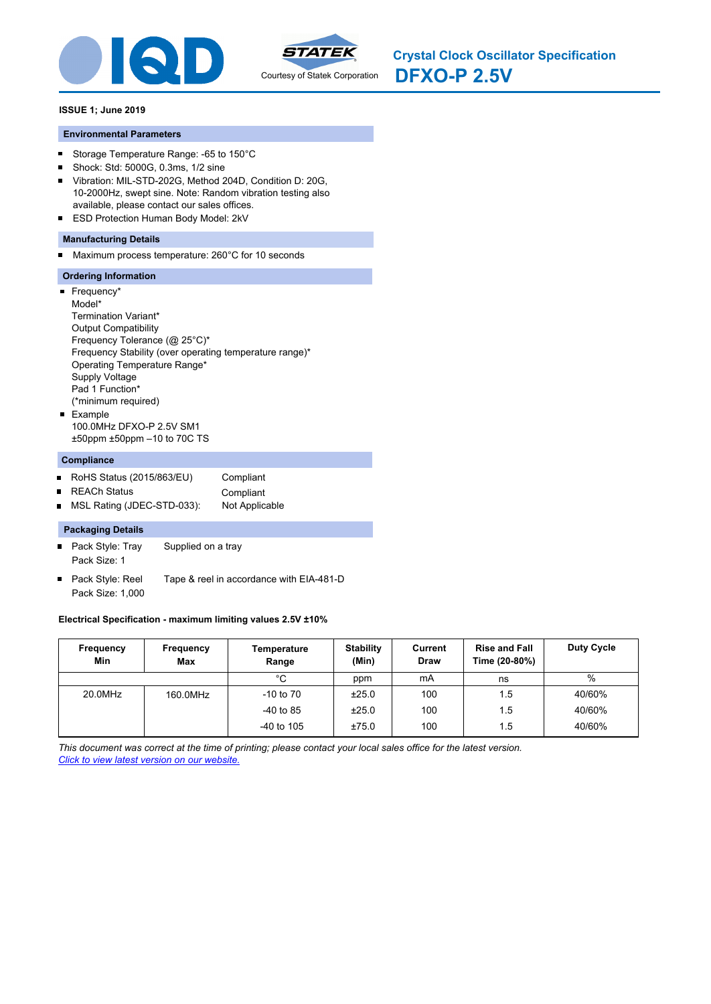



**DFXO-P 2.5V Crystal Clock Oscillator Specification**

# **ISSUE 1; June 2019**

#### **Environmental Parameters**

- Storage Temperature Range: -65 to 150°C  $\blacksquare$
- Shock: Std: 5000G, 0.3ms, 1/2 sine  $\blacksquare$
- Vibration: MIL-STD-202G, Method 204D, Condition D: 20G,  $\blacksquare$ 10-2000Hz, swept sine. Note: Random vibration testing also available, please contact our sales offices.
- **ESD Protection Human Body Model: 2kV**

# **Manufacturing Details**

Maximum process temperature: 260°C for 10 seconds  $\blacksquare$ 

# **Ordering Information**

**Frequency\*** Model\* Termination Variant\* Output Compatibility Frequency Tolerance (@ 25°C)\* Frequency Stability (over operating temperature range)\* Operating Temperature Range\* Supply Voltage Pad 1 Function\* (\*minimum required) **Example** 100.0MHz DFXO-P 2.5V SM1 ±50ppm ±50ppm –10 to 70C TS

### **Compliance**

- RoHS Status (2015/863/EU) Compliant  $\blacksquare$
- $\blacksquare$
- REACh Status **Compliant** MSL Rating (JDEC-STD-033): Not Applicable

# **Packaging Details**

- Pack Style: Tray Supplied on a tray Pack Size: 1
- Pack Style: Reel Tape & reel in accordance with EIA-481-D Pack Size: 1,000

#### **Electrical Specification - maximum limiting values 2.5V ±10%**

| Frequency<br>Min | Frequency<br>Max | Temperature<br>Range | <b>Stability</b><br>(Min) | Current<br>Draw | <b>Rise and Fall</b><br>Time (20-80%) | <b>Duty Cycle</b> |
|------------------|------------------|----------------------|---------------------------|-----------------|---------------------------------------|-------------------|
|                  |                  | °C                   | ppm                       | mA              | ns                                    | %                 |
| 20.0MHz          | 160.0MHz         | $-10$ to $70$        | ±25.0                     | 100             | 1.5                                   | 40/60%            |
|                  |                  | $-40$ to 85          | ±25.0                     | 100             | 1.5                                   | 40/60%            |
|                  |                  | $-40$ to 105         | ±75.0                     | 100             | 1.5                                   | 40/60%            |

*This document was correct at the time of printing; please contact your local sales office for the latest version. Click to view latest version on our website.*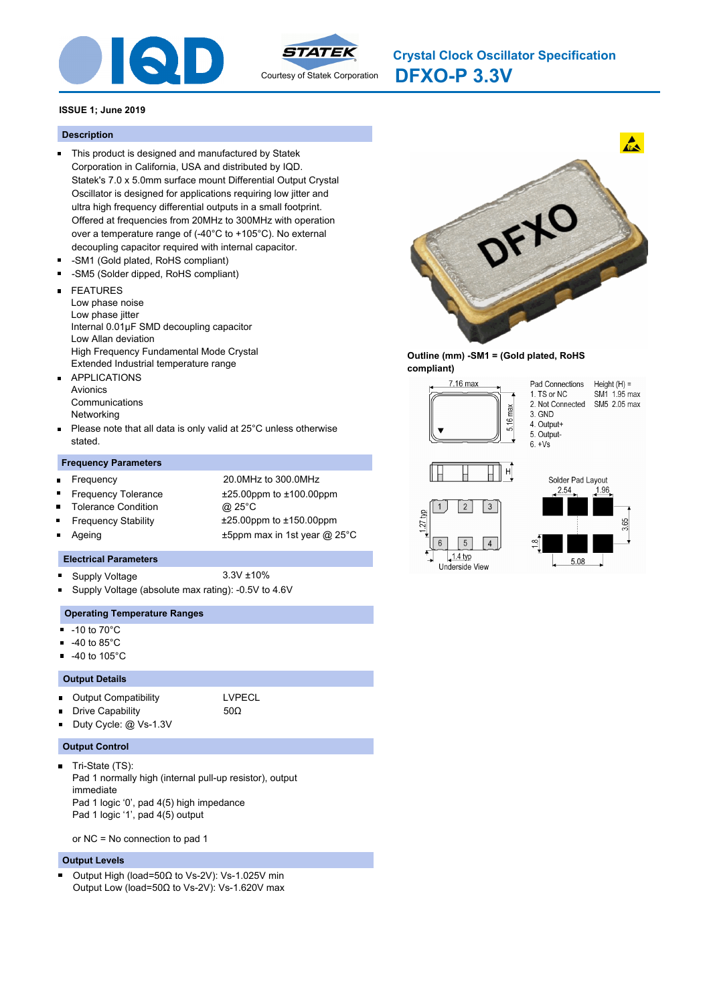



**DFXO-P 3.3V Crystal Clock Oscillator Specification**

# **ISSUE 1; June 2019**

#### **Description**

- This product is designed and manufactured by Statek Corporation in California, USA and distributed by IQD. Statek's 7.0 x 5.0mm surface mount Differential Output Crystal Oscillator is designed for applications requiring low jitter and ultra high frequency differential outputs in a small footprint. Offered at frequencies from 20MHz to 300MHz with operation over a temperature range of (-40°C to +105°C). No external decoupling capacitor required with internal capacitor.
- -SM1 (Gold plated, RoHS compliant)
- $\blacksquare$ -SM5 (Solder dipped, RoHS compliant)
- FEATURES  $\blacksquare$ 
	- Low phase noise
- Low phase jitter Internal 0.01μF SMD decoupling capacitor
- Low Allan deviation
- High Frequency Fundamental Mode Crystal
- Extended Industrial temperature range
- APPLICATIONS  $\blacksquare$ Avionics Communications Networking
- Please note that all data is only valid at 25°C unless otherwise  $\blacksquare$ stated.

### **Frequency Parameters**

- $\blacksquare$
- Frequency 20.0MHz to 300.0MHz Frequency Tolerance ±25.00ppm to ±100.00ppm
- Tolerance Condition @ 25°C
- 
- 
- 

 $\blacksquare$ 

Frequency Stability ±25.00ppm to ±150.00ppm Ageing **EXALL** 25 and the Human to the Human Human ax in 1st year @ 25°C

#### **Electrical Parameters**

- Supply Voltage 3.3V ±10%
	-
- Supply Voltage (absolute max rating): -0.5V to 4.6V

### **Operating Temperature Ranges**

- $-10$  to  $70^{\circ}$ C
- -40 to 85°C
- -40 to 105°C

#### **Output Details**

- $\blacksquare$ Output Compatibility **LVPECL** 
	- Drive Capability 50Ω

Duty Cycle: @ Vs-1.3V

# **Output Control**

Tri-State (TS):  $\blacksquare$ Pad 1 normally high (internal pull-up resistor), output immediate Pad 1 logic '0', pad 4(5) high impedance Pad 1 logic '1', pad 4(5) output

or NC = No connection to pad 1

#### **Output Levels**

Output High (load=50Ω to Vs-2V): Vs-1.025V min × Output Low (load=50Ω to Vs-2V): Vs-1.620V max



### **Outline (mm) -SM1 = (Gold plated, RoHS compliant)**